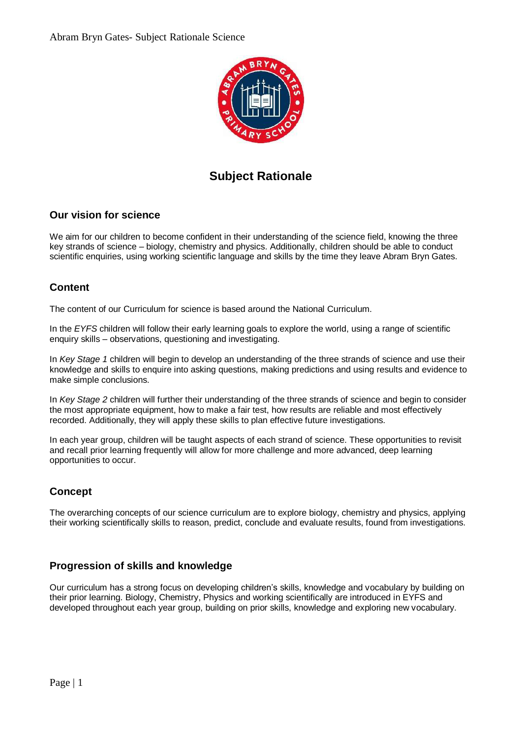

# **Subject Rationale**

## **Our vision for science**

We aim for our children to become confident in their understanding of the science field, knowing the three key strands of science – biology, chemistry and physics. Additionally, children should be able to conduct scientific enquiries, using working scientific language and skills by the time they leave Abram Bryn Gates.

## **Content**

The content of our Curriculum for science is based around the National Curriculum.

In the *EYFS* children will follow their early learning goals to explore the world, using a range of scientific enquiry skills – observations, questioning and investigating.

In *Key Stage 1* children will begin to develop an understanding of the three strands of science and use their knowledge and skills to enquire into asking questions, making predictions and using results and evidence to make simple conclusions.

In *Key Stage 2* children will further their understanding of the three strands of science and begin to consider the most appropriate equipment, how to make a fair test, how results are reliable and most effectively recorded. Additionally, they will apply these skills to plan effective future investigations.

In each year group, children will be taught aspects of each strand of science. These opportunities to revisit and recall prior learning frequently will allow for more challenge and more advanced, deep learning opportunities to occur.

## **Concept**

The overarching concepts of our science curriculum are to explore biology, chemistry and physics, applying their working scientifically skills to reason, predict, conclude and evaluate results, found from investigations.

### **Progression of skills and knowledge**

Our curriculum has a strong focus on developing children's skills, knowledge and vocabulary by building on their prior learning. Biology, Chemistry, Physics and working scientifically are introduced in EYFS and developed throughout each year group, building on prior skills, knowledge and exploring new vocabulary.